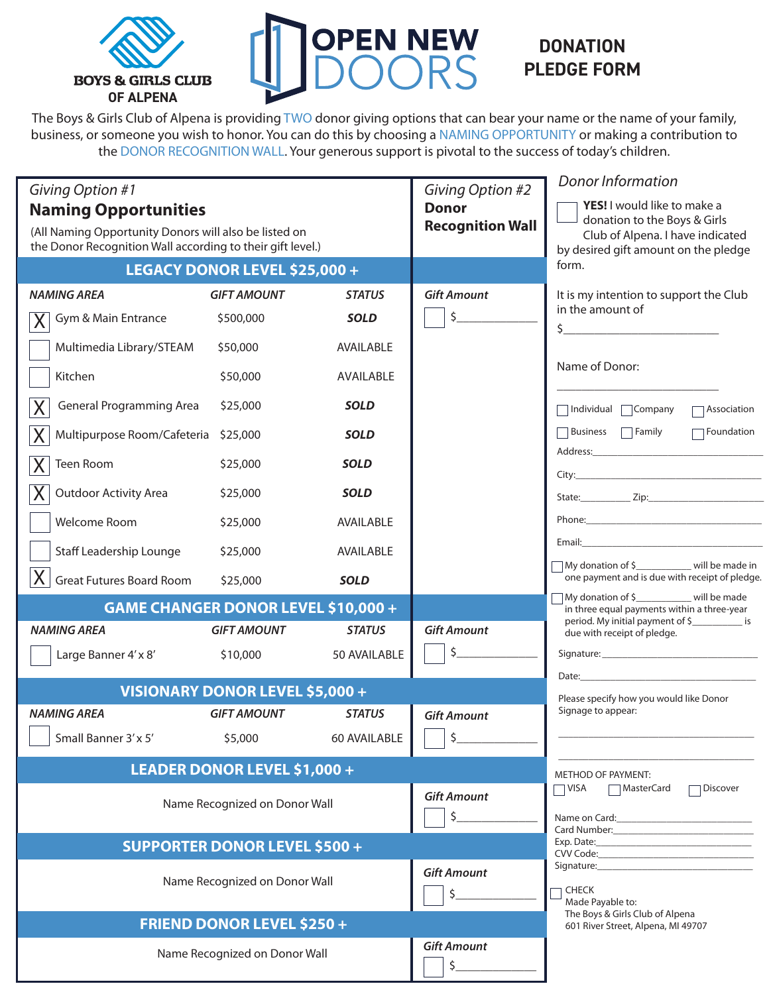



## **DONATION PLEDGE FORM**

The Boys & Girls Club of Alpena is providing TWO donor giving options that can bear your name or the name of your family, business, or someone you wish to honor. You can do this by choosing a NAMING OPPORTUNITY or making a contribution to the DONOR RECOGNITION WALL. Your generous support is pivotal to the success of today's children.

| Giving Option #1<br><b>Naming Opportunities</b><br>(All Naming Opportunity Donors will also be listed on<br>the Donor Recognition Wall according to their gift level.)<br><b>LEGACY DONOR LEVEL \$25,000 +</b> |                               |                          | Giving Option #2<br><b>Donor</b><br><b>Recognition Wall</b>                              | <b>Donor Information</b><br>YES! I would like to make a<br>donation to the Boys & Girls<br>Club of Alpena. I have indicated<br>by desired gift amount on the pledge<br>form.                                                   |
|----------------------------------------------------------------------------------------------------------------------------------------------------------------------------------------------------------------|-------------------------------|--------------------------|------------------------------------------------------------------------------------------|--------------------------------------------------------------------------------------------------------------------------------------------------------------------------------------------------------------------------------|
| <b>NAMING AREA</b>                                                                                                                                                                                             | <b>GIFT AMOUNT</b>            | <b>STATUS</b>            | <b>Gift Amount</b>                                                                       | It is my intention to support the Club                                                                                                                                                                                         |
| Gym & Main Entrance                                                                                                                                                                                            | \$500,000                     | <b>SOLD</b>              | \$                                                                                       | in the amount of<br>$\begin{array}{c c c c c c} \n\end{array}$                                                                                                                                                                 |
| Multimedia Library/STEAM                                                                                                                                                                                       | \$50,000                      | AVAILABLE                |                                                                                          |                                                                                                                                                                                                                                |
| Kitchen                                                                                                                                                                                                        | \$50,000                      | AVAILABLE                |                                                                                          | Name of Donor:                                                                                                                                                                                                                 |
| <b>General Programming Area</b>                                                                                                                                                                                | \$25,000                      | <b>SOLD</b>              |                                                                                          | □ Individual □ Company<br>$\Box$ Association                                                                                                                                                                                   |
| Multipurpose Room/Cafeteria                                                                                                                                                                                    | \$25,000                      | <b>SOLD</b>              |                                                                                          | Business <b>Family</b><br>$\Box$ Foundation                                                                                                                                                                                    |
| Teen Room                                                                                                                                                                                                      | \$25,000                      | <b>SOLD</b>              |                                                                                          |                                                                                                                                                                                                                                |
| <b>Outdoor Activity Area</b>                                                                                                                                                                                   | \$25,000                      | <b>SOLD</b>              |                                                                                          |                                                                                                                                                                                                                                |
| Welcome Room                                                                                                                                                                                                   | \$25,000                      | AVAILABLE                |                                                                                          |                                                                                                                                                                                                                                |
| <b>Staff Leadership Lounge</b>                                                                                                                                                                                 | \$25,000                      | AVAILABLE                |                                                                                          |                                                                                                                                                                                                                                |
| <b>Great Futures Board Room</b>                                                                                                                                                                                | \$25,000                      | <b>SOLD</b>              |                                                                                          | My donation of \$____________ will be made in<br>one payment and is due with receipt of pledge.                                                                                                                                |
| <b>GAME CHANGER DONOR LEVEL \$10,000 +</b>                                                                                                                                                                     |                               |                          | My donation of \$___________ will be made<br>in three equal payments within a three-year |                                                                                                                                                                                                                                |
| <b>NAMING AREA</b>                                                                                                                                                                                             | <b>GIFT AMOUNT</b>            | <b>STATUS</b>            | <b>Gift Amount</b>                                                                       | period. My initial payment of \$_____________ is<br>due with receipt of pledge.                                                                                                                                                |
| Large Banner 4'x 8'                                                                                                                                                                                            | \$10,000                      | 50 AVAILABLE             | $\zeta$                                                                                  |                                                                                                                                                                                                                                |
| VISIONARY DONOR LEVEL \$5,000 +                                                                                                                                                                                |                               |                          |                                                                                          | Date: the contract of the contract of the contract of the contract of the contract of the contract of the contract of the contract of the contract of the contract of the contract of the contract of the contract of the cont |
| <b>NAMING AREA</b><br><b>GIFT AMOUNT</b><br><b>STATUS</b>                                                                                                                                                      |                               |                          | <b>Gift Amount</b>                                                                       | Please specify how you would like Donor<br>Signage to appear:                                                                                                                                                                  |
| Small Banner 3'x 5' \$5,000 60 AVAILABLE                                                                                                                                                                       |                               |                          | $\Box$ \$                                                                                |                                                                                                                                                                                                                                |
| <b>LEADER DONOR LEVEL \$1,000 +</b>                                                                                                                                                                            |                               |                          |                                                                                          | <b>METHOD OF PAYMENT:</b>                                                                                                                                                                                                      |
| Name Recognized on Donor Wall                                                                                                                                                                                  |                               |                          | <b>Gift Amount</b><br>\$                                                                 | VISA<br>∏Discover<br>MasterCard<br>Name on Card: Name on Card:                                                                                                                                                                 |
| <b>SUPPORTER DONOR LEVEL \$500 +</b>                                                                                                                                                                           |                               |                          |                                                                                          |                                                                                                                                                                                                                                |
|                                                                                                                                                                                                                | Name Recognized on Donor Wall | <b>Gift Amount</b><br>\$ | Signature: Note: Note: No. 2014<br><b>CHECK</b><br>Made Payable to:                      |                                                                                                                                                                                                                                |
| <b>FRIEND DONOR LEVEL \$250 +</b>                                                                                                                                                                              |                               |                          |                                                                                          | The Boys & Girls Club of Alpena<br>601 River Street, Alpena, MI 49707                                                                                                                                                          |
|                                                                                                                                                                                                                | Name Recognized on Donor Wall | <b>Gift Amount</b>       |                                                                                          |                                                                                                                                                                                                                                |